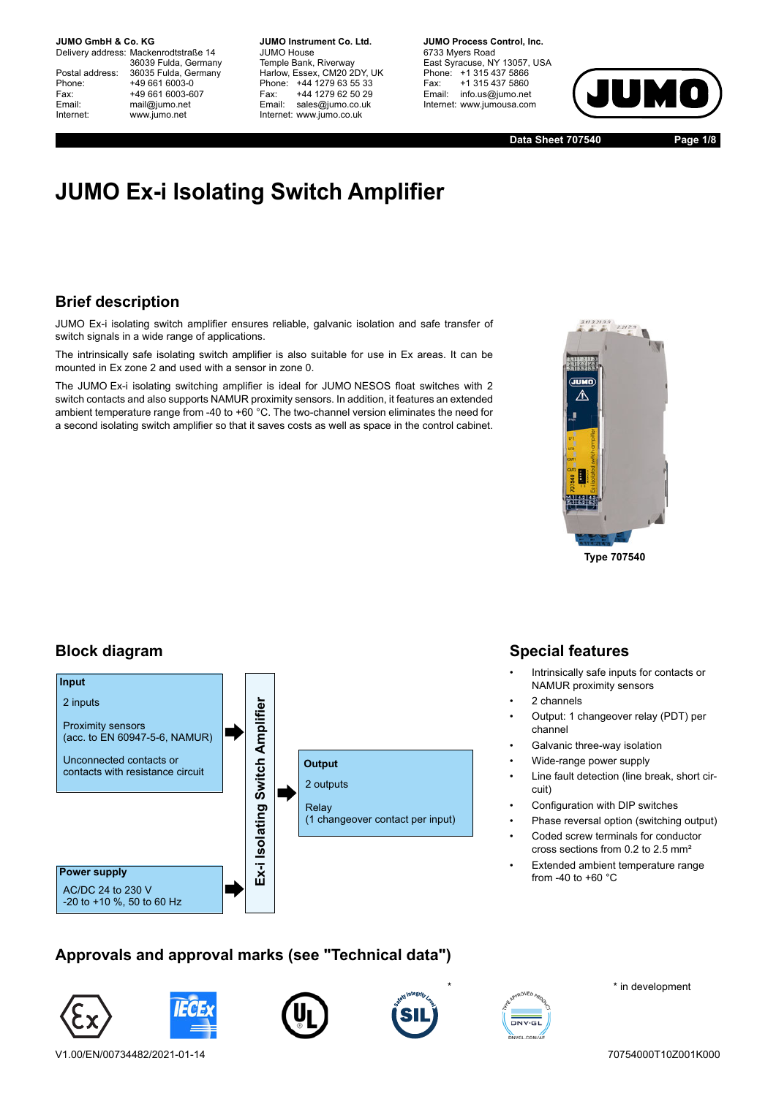Delivery address: Mackenrodtstraße 14 36039 Fulda, Germany Postal address: 36035 Fulda, Germany<br>Phone: +49 661 6003-0 Phone: +49 661 6003-0<br>Fax: +49 661 6003-6 Fax: +49 661 6003-607<br>
Fmail: mail@iumo.net mail@iumo.net Internet: www.jumo.net

**-BUMO Instrument Co. Ltd.** JUMO House Temple Bank, Riverway Harlow, Essex, CM20 2DY, UK Phone: +44 1279 63 55 33<br>Fax: +44 1279 62 50 29 Fax: +44 1279 62 50 29<br>Email: sales@iumo.co.uk sales@jumo.co.uk Internet: www.jumo.co.uk

**-BURG Process Control Inc.** 6733 Myers Road East Syracuse, NY 13057, USA Phone: +1 315 437 5866<br>Fax: +1 315 437 5860 Fax: +1 315 437 5860<br>Email: info.us@jumo.net info.us@jumo.net Internet: www.jumousa.com



**Data Sheet 707540 Page 1/8**

# **JUMO Ex-i Isolating Switch Amplifier**

## **Brief description**

JUMO Ex-i isolating switch amplifier ensures reliable, galvanic isolation and safe transfer of switch signals in a wide range of applications.

The intrinsically safe isolating switch amplifier is also suitable for use in Ex areas. It can be mounted in Ex zone 2 and used with a sensor in zone 0.

The JUMO Ex-i isolating switching amplifier is ideal for JUMO NESOS float switches with 2 switch contacts and also supports NAMUR proximity sensors. In addition, it features an extended ambient temperature range from -40 to +60 °C. The two-channel version eliminates the need for a second isolating switch amplifier so that it saves costs as well as space in the control cabinet.



**Type 707540**

### **Block diagram**



## **Special features**

- Intrinsically safe inputs for contacts or NAMUR proximity sensors
- 2 channels
- Output: 1 changeover relay (PDT) per channel
- Galvanic three-way isolation
- Wide-range power supply
- Line fault detection (line break, short circuit)
- Configuration with DIP switches
- Phase reversal option (switching output)
- Coded screw terminals for conductor cross sections from 0.2 to 2.5 mm²
- Extended ambient temperature range from -40 to +60 °C

## **Approvals and approval marks (see "Technical data")**











\* in development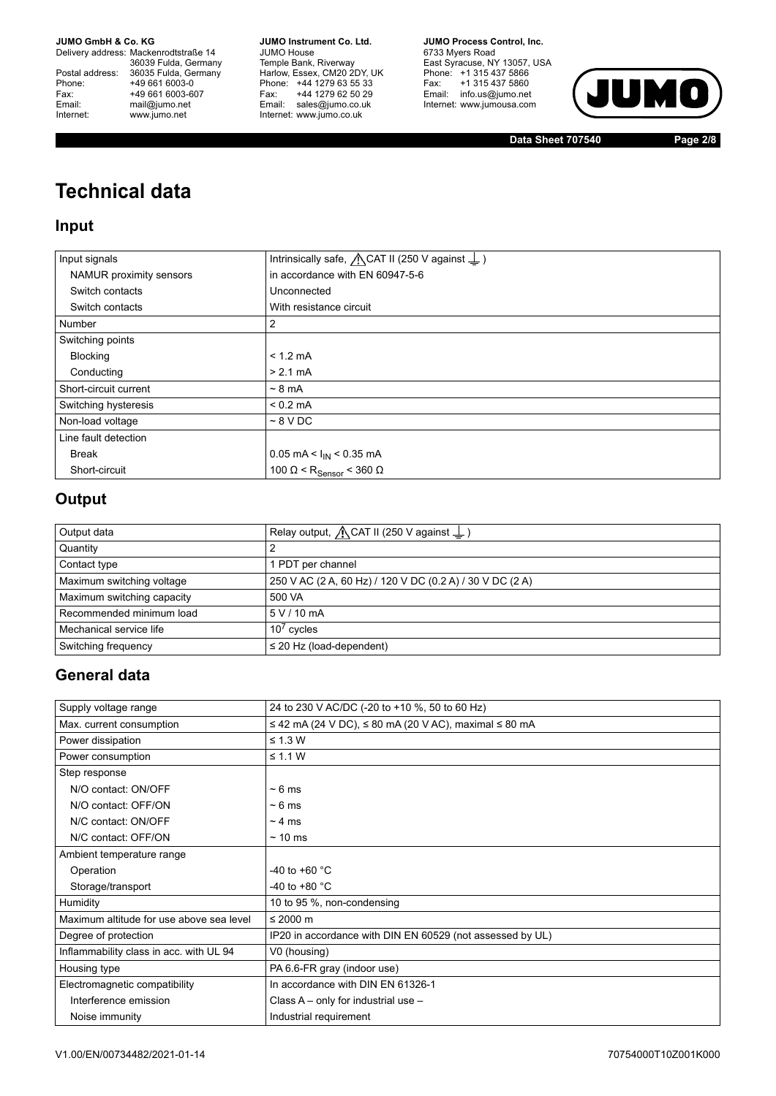Delivery address: Mackenrodtstraße 14 36039 Fulda, Germany<br>Postal address: 36035 Fulda, Germany Phone: +49 661 6003-0<br>
Fax: +49 661 6003-6<br>
Email: mail@jumo.net +49 661 6003-607 Email: mail@jumo.net<br>Internet: www.iumo.net www.jumo.net

**JUMO Instrument Co. Ltd.** JUMO House Temple Bank, Riverway<br>Harlow, Essex, CM20 2DY, UK Phone: +44 1279 63 55 33<br>Fax: +44 1279 62 50 29 Fax: +44 1279 62 50 29<br>Email: sales@jumo.co.uk Internet: www.jumo.co.uk

**JUMO Process Control, Inc.** 6733 Myers Road East Syracuse, NY 13057, USA<br>Phone: +1 315 437 5866<br>Fax: +1 315 437 5860 Email: info.us@jumo.net Internet: www.jumousa.com



**Data Sheet 707540 Page 2/8**

# **Technical data**

### **Input**

| Input signals           | Intrinsically safe, $\bigwedge$ CAT II (250 V against $\perp$ ) |
|-------------------------|-----------------------------------------------------------------|
| NAMUR proximity sensors | in accordance with EN 60947-5-6                                 |
| Switch contacts         | Unconnected                                                     |
| Switch contacts         | With resistance circuit                                         |
| Number                  | $\overline{2}$                                                  |
| Switching points        |                                                                 |
| <b>Blocking</b>         | $< 1.2$ mA                                                      |
| Conducting              | $> 2.1 \text{ mA}$                                              |
| Short-circuit current   | $\sim$ 8 mA                                                     |
| Switching hysteresis    | $< 0.2$ mA                                                      |
| Non-load voltage        | $~8$ V DC                                                       |
| Line fault detection    |                                                                 |
| <b>Break</b>            | 0.05 mA < $I_{IN}$ < 0.35 mA                                    |
| Short-circuit           | 100 Ω < R <sub>Sensor</sub> < 360 Ω                             |

## **Output**

| Output data                | Relay output, $\bigwedge$ CAT II (250 V against $\perp$ ) |
|----------------------------|-----------------------------------------------------------|
| Quantity                   |                                                           |
| Contact type               | PDT per channel                                           |
| Maximum switching voltage  | 250 V AC (2 A, 60 Hz) / 120 V DC (0.2 A) / 30 V DC (2 A)  |
| Maximum switching capacity | 500 VA                                                    |
| Recommended minimum load   | 5 V / 10 mA                                               |
| Mechanical service life    | $10^7$ cycles                                             |
| Switching frequency        | $\leq$ 20 Hz (load-dependent)                             |

## **General data**

| Supply voltage range                     | 24 to 230 V AC/DC (-20 to +10 %, 50 to 60 Hz)                     |
|------------------------------------------|-------------------------------------------------------------------|
| Max. current consumption                 | $\le$ 42 mA (24 V DC), $\le$ 80 mA (20 V AC), maximal $\le$ 80 mA |
| Power dissipation                        | $\leq$ 1.3 W                                                      |
| Power consumption                        | $\leq$ 1.1 W                                                      |
| Step response                            |                                                                   |
| N/O contact: ON/OFF                      | $\sim 6$ ms                                                       |
| N/O contact: OFF/ON                      | $~\sim 6 \text{ ms}$                                              |
| N/C contact: ON/OFF                      | $\sim$ 4 ms                                                       |
| N/C contact: OFF/ON                      | $\sim$ 10 ms                                                      |
| Ambient temperature range                |                                                                   |
| Operation                                | -40 to +60 °C                                                     |
| Storage/transport                        | -40 to +80 $^{\circ}$ C                                           |
| Humidity                                 | 10 to 95 %, non-condensing                                        |
| Maximum altitude for use above sea level | $\leq$ 2000 m                                                     |
| Degree of protection                     | IP20 in accordance with DIN EN 60529 (not assessed by UL)         |
| Inflammability class in acc. with UL 94  | V0 (housing)                                                      |
| Housing type                             | PA 6.6-FR gray (indoor use)                                       |
| Electromagnetic compatibility            | In accordance with DIN EN 61326-1                                 |
| Interference emission                    | Class $A - only$ for industrial use $-$                           |
| Noise immunity                           | Industrial requirement                                            |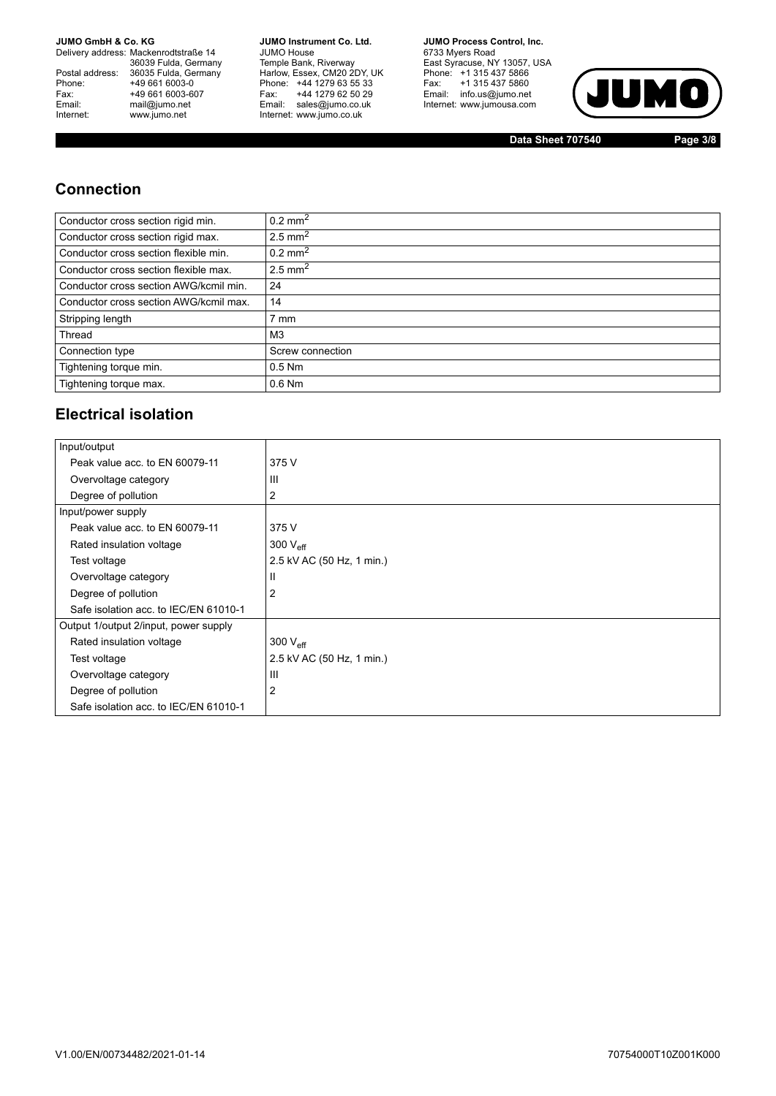Delivery address: Mackenrodtstraße 14 36039 Fulda, Germany<br>Postal address: 36035 Fulda, Germany Phone: +49 661 6003-0<br>
Fax: +49 661 6003-6<br>
Email: mail@jumo.net +49 661 6003-607 Email: mail@jumo.net<br>Internet: www.iumo.net www.jumo.net

**JUMO Instrument Co. Ltd.** JUMO House Temple Bank, Riverway<br>Harlow, Essex, CM20 2DY, UK<br>Phone: +44 1279 63 55 33 Fax: +44 1279 62 50 29<br>Email: sales@jumo.co.uk Internet: www.jumo.co.uk

**JUMO Process Control. Inc.** 6733 Myers Road East Syracuse, NY 13057, USA<br>Phone: +1 315 437 5866<br>Fax: +1 315 437 5860 Email: info.us@jumo.net Internet: www.jumousa.com



**Data Sheet 707540 Page 3/8**

### **Connection**

| Conductor cross section rigid min.     | $0.2 \text{ mm}^2$    |
|----------------------------------------|-----------------------|
| Conductor cross section rigid max.     | 2.5 mm <sup>2</sup>   |
| Conductor cross section flexible min.  | $0.2 \text{ mm}^2$    |
| Conductor cross section flexible max.  | $2.5$ mm <sup>2</sup> |
| Conductor cross section AWG/kcmil min. | 24                    |
| Conductor cross section AWG/kcmil max. | 14                    |
| Stripping length                       | mm <sup>'</sup>       |
| Thread                                 | M <sub>3</sub>        |
| Connection type                        | Screw connection      |
| Tightening torque min.                 | $0.5$ Nm              |
| Tightening torque max.                 | $0.6$ Nm              |

### **Electrical isolation**

| Input/output                          |                           |
|---------------------------------------|---------------------------|
| Peak value acc. to EN 60079-11        | 375 V                     |
| Overvoltage category                  | Ш                         |
| Degree of pollution                   | 2                         |
| Input/power supply                    |                           |
| Peak value acc. to EN 60079-11        | 375 V                     |
| Rated insulation voltage              | 300 $V_{\text{eff}}$      |
| Test voltage                          | 2.5 kV AC (50 Hz, 1 min.) |
| Overvoltage category                  | Ш                         |
| Degree of pollution                   | 2                         |
| Safe isolation acc. to IEC/EN 61010-1 |                           |
| Output 1/output 2/input, power supply |                           |
| Rated insulation voltage              | 300 $V_{\text{eff}}$      |
| Test voltage                          | 2.5 kV AC (50 Hz, 1 min.) |
| Overvoltage category                  | $\mathsf{III}$            |
| Degree of pollution                   | $\overline{2}$            |
| Safe isolation acc. to IEC/EN 61010-1 |                           |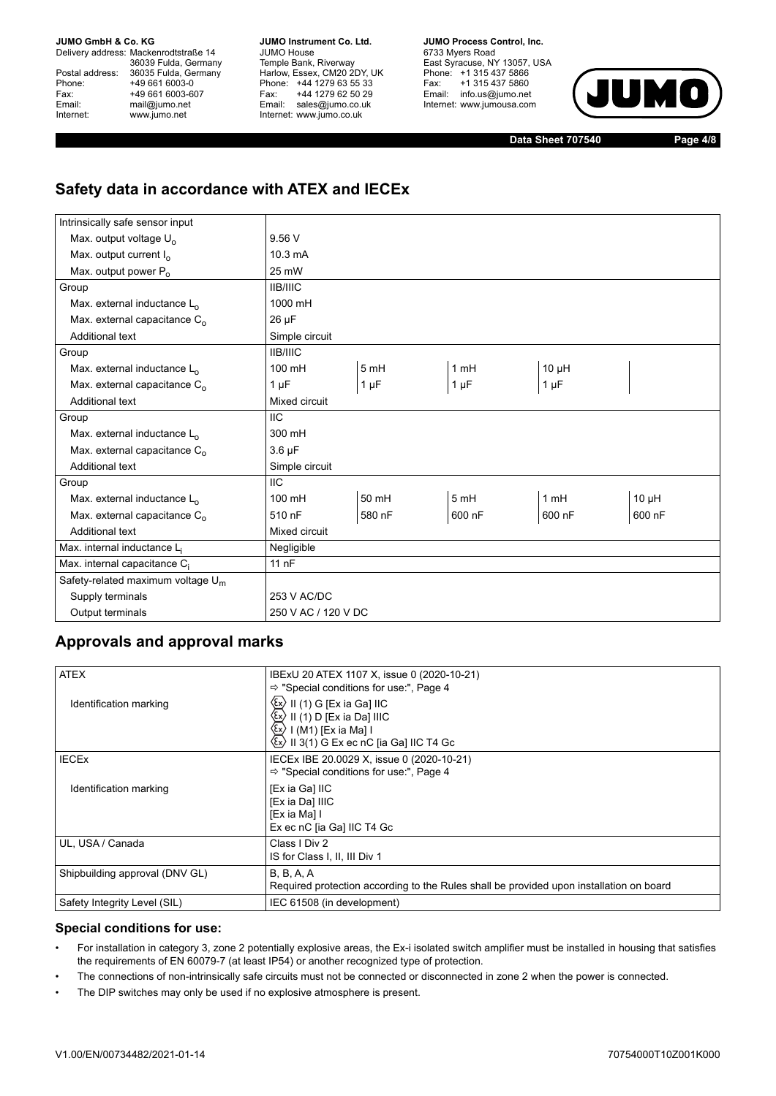Delivery address: Mackenrodtstraße 14 36039 Fulda, Germany Postal address: 36035 Fulda, Germany<br>Phone: +49 661 6003-0 Phone: +49 661 6003-0<br>
Fax: +49 661 6003-6<br>
Email: mail@iumo.net +49 661 6003-607 mail@jumo.net Internet: www.jumo.net

**JUMO Instrument Co. Ltd.** JUMO House Temple Bank, Riverway<br>Harlow, Essex, CM20 2DY, UK Phone: +44 1279 63 55 33<br>Fax: +44 1279 62 50 29 +44 1279 62 50 29 Email: sales@jumo.co.uk Internet: www.jumo.co.uk

**JUMO Process Control, Inc.** 6733 Myers Road East Syracuse, NY 13057, USA Phone: +1 315 437 5866<br>Fax: +1 315 437 5860 +1 315 437 5860 Email: info.us@jumo.net Internet: www.jumousa.com



**Data Sheet 707540 Page 4/8**

## **Safety data in accordance with ATEX and IECEx**

| Intrinsically safe sensor input          |                     |           |           |            |            |  |  |
|------------------------------------------|---------------------|-----------|-----------|------------|------------|--|--|
| Max. output voltage U <sub>o</sub>       | 9.56V               |           |           |            |            |  |  |
| Max. output current $I_0$                | 10.3 mA             |           |           |            |            |  |  |
| Max. output power P <sub>o</sub>         | 25 mW               |           |           |            |            |  |  |
| Group                                    | <b>IIB/IIIC</b>     |           |           |            |            |  |  |
| Max. external inductance L <sub>o</sub>  | 1000 mH             |           |           |            |            |  |  |
| Max. external capacitance C <sub>o</sub> | $26 \mu F$          |           |           |            |            |  |  |
| <b>Additional text</b>                   | Simple circuit      |           |           |            |            |  |  |
| Group                                    | <b>IIB/IIIC</b>     |           |           |            |            |  |  |
| Max. external inductance L <sub>o</sub>  | 100 mH              | 5mH       | 1 mH      | $10 \mu H$ |            |  |  |
| Max. external capacitance C <sub>o</sub> | 1 $\mu$ F           | $1 \mu F$ | $1 \mu F$ | $1 \mu F$  |            |  |  |
| <b>Additional text</b>                   | Mixed circuit       |           |           |            |            |  |  |
| Group                                    | <b>IIC</b>          |           |           |            |            |  |  |
| Max. external inductance L <sub>o</sub>  | 300 mH              |           |           |            |            |  |  |
| Max. external capacitance C <sub>o</sub> | $3.6 \mu F$         |           |           |            |            |  |  |
| <b>Additional text</b>                   | Simple circuit      |           |           |            |            |  |  |
| Group                                    | <b>IIC</b>          |           |           |            |            |  |  |
| Max. external inductance L <sub>o</sub>  | 100 mH              | 50 mH     | 5mH       | 1mH        | $10 \mu H$ |  |  |
| Max. external capacitance C <sub>o</sub> | 510 nF              | 580 nF    | 600 nF    | 600 nF     | 600 nF     |  |  |
| <b>Additional text</b>                   | Mixed circuit       |           |           |            |            |  |  |
| Max. internal inductance Li              | Negligible          |           |           |            |            |  |  |
| Max. internal capacitance C <sub>i</sub> | 11nF                |           |           |            |            |  |  |
| Safety-related maximum voltage $U_m$     |                     |           |           |            |            |  |  |
| Supply terminals                         | 253 V AC/DC         |           |           |            |            |  |  |
| Output terminals                         | 250 V AC / 120 V DC |           |           |            |            |  |  |

### **Approvals and approval marks**

| <b>ATEX</b>                    | IBExU 20 ATEX 1107 X, issue 0 (2020-10-21)                                                                                                                                                                                 |
|--------------------------------|----------------------------------------------------------------------------------------------------------------------------------------------------------------------------------------------------------------------------|
| Identification marking         | $\Rightarrow$ "Special conditions for use:", Page 4<br>II (1) G [Ex ia Ga] IIC<br>II (1) D [Ex ia Da] IIIC<br>I (M1) [Ex ia Ma] I<br>$\langle \xi$ x $\rangle$<br>$\langle x \rangle$ II 3(1) G Ex ec nC [ia Ga] IIC T4 Gc |
| <b>IECEX</b>                   | IECEX IBE 20.0029 X, issue 0 (2020-10-21)<br>$\Rightarrow$ "Special conditions for use:", Page 4                                                                                                                           |
| Identification marking         | [Ex ia Ga] IIC<br>[Ex ia Da] IIIC<br>[Ex ia Ma] I<br>Ex ec nC [ia Ga] IIC T4 Gc                                                                                                                                            |
| UL, USA / Canada               | Class I Div 2<br>IS for Class I, II, III Div 1                                                                                                                                                                             |
| Shipbuilding approval (DNV GL) | <b>B</b> , <b>B</b> , <b>A</b> , <b>A</b><br>Required protection according to the Rules shall be provided upon installation on board                                                                                       |
| Safety Integrity Level (SIL)   | IEC 61508 (in development)                                                                                                                                                                                                 |

### <span id="page-3-0"></span>**Special conditions for use:**

- For installation in category 3, zone 2 potentially explosive areas, the Ex-i isolated switch amplifier must be installed in housing that satisfies the requirements of EN 60079-7 (at least IP54) or another recognized type of protection.
- The connections of non-intrinsically safe circuits must not be connected or disconnected in zone 2 when the power is connected.
- The DIP switches may only be used if no explosive atmosphere is present.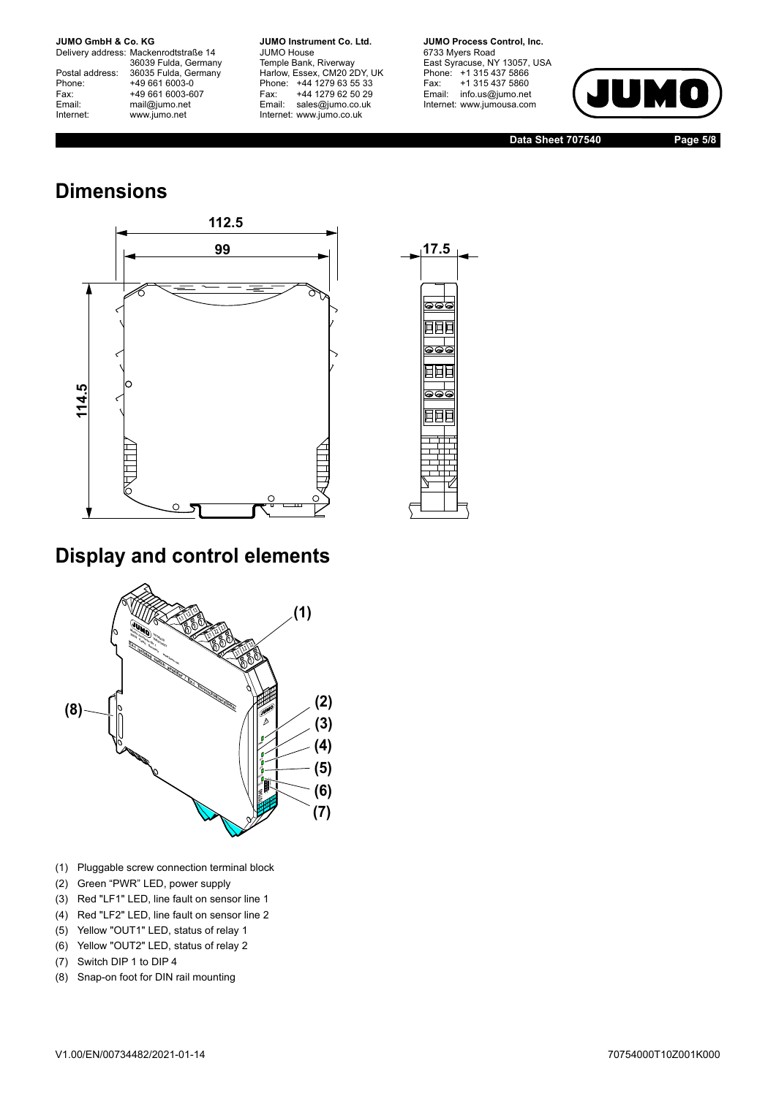Delivery address: Mackenrodtstraße 14 36039 Fulda, Germany<br>Postal address: 36035 Fulda, Germany Phone: +49 661 6003-0<br>
Fax: +49 661 6003-6<br>
Email: mail@jumo.net +49 661 6003-607 mail@jumo.net Internet: www.jumo.net

**JUMO Instrument Co. Ltd.** JUMO House Temple Bank, Riverway<br>Harlow, Essex, CM20 2DY, UK Phone: +44 1279 63 55 33<br>Fax: +44 1279 62 50 29 +44 1279 62 50 29 Email: sales@jumo.co.uk Internet: www.jumo.co.uk

**JUMO Process Control, Inc.** 6733 Myers Road East Syracuse, NY 13057, USA Phone: +1 315 437 5866<br>Fax: +1 315 437 5860 Email: info.us@jumo.net Internet: www.jumousa.com



**Data Sheet 707540 Page 5/8**

# **Dimensions**





## **Display and control elements**



- (1) Pluggable screw connection terminal block
- (2) Green "PWR" LED, power supply
- (3) Red "LF1" LED, line fault on sensor line 1
- (4) Red "LF2" LED, line fault on sensor line 2
- (5) Yellow "OUT1" LED, status of relay 1
- (6) Yellow "OUT2" LED, status of relay 2
- (7) Switch DIP 1 to DIP 4
-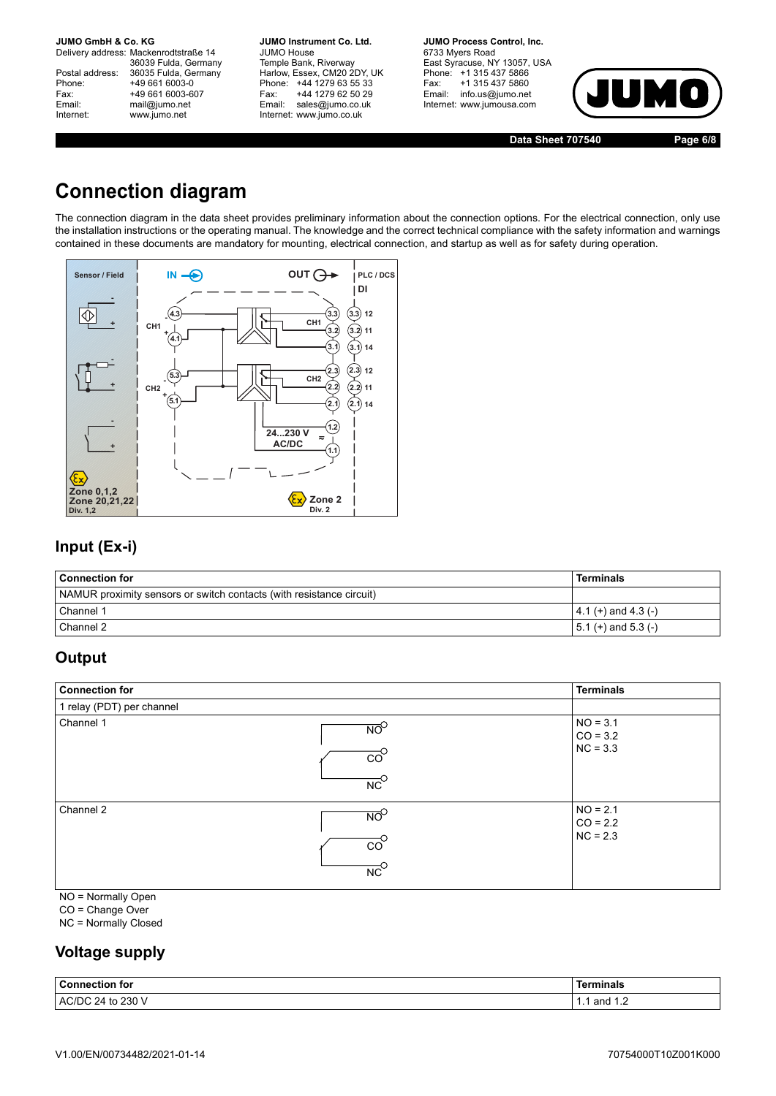Delivery address: Mackenrodtstraße 14 36039 Fulda, Germany Postal address: 36035 Fulda, Germany<br>Phone: +49 661 6003-0 Phone: +49 661 6003-0<br>Fax: +49 661 6003-6 Fax: +49 661 6003-607<br>
Email: mail@jumo.net mail@jumo.net Internet: www.jumo.net

**JUMO Instrument Co. Ltd.** JUMO House Temple Bank, Riverway<br>Harlow, Essex, CM20 2DY, UK Phone: +44 1279 63 55 33<br>Fax: +44 1279 62 50 29 Fax: +44 1279 62 50 29<br>Email: sales@iumo.co.uk sales@jumo.co.uk Internet: www.jumo.co.uk

**JUMO Process Control, Inc.** 6733 Myers Road East Syracuse, NY 13057, USA Phone: +1 315 437 5866<br>Fax: +1 315 437 5860 Fax: +1 315 437 5860<br>Email: info.us@jumo.net info.us@jumo.net Internet: www.jumousa.com



**Data Sheet 707540 Page 6/8**

## **Connection diagram**

The connection diagram in the data sheet provides preliminary information about the connection options. For the electrical connection, only use the installation instructions or the operating manual. The knowledge and the correct technical compliance with the safety information and warnings contained in these documents are mandatory for mounting, electrical connection, and startup as well as for safety during operation.



### **Input (Ex-i)**

| <b>Connection for</b>                                                | Terminals               |
|----------------------------------------------------------------------|-------------------------|
| NAMUR proximity sensors or switch contacts (with resistance circuit) |                         |
| Channel 1                                                            | $ 4.1(+)$ and $4.3(-)$  |
| Channel 2                                                            | $  5.1 (+)$ and 5.3 (-) |

### **Output**

| <b>Connection for</b>     |                                                                         | <b>Terminals</b>                       |
|---------------------------|-------------------------------------------------------------------------|----------------------------------------|
| 1 relay (PDT) per channel |                                                                         |                                        |
| Channel 1                 | $\overline{NO}^O$<br>$\overline{co}^{\circ}$<br>$\overline{NC}^{\circ}$ | $NO = 3.1$<br>$CO = 3.2$<br>$NC = 3.3$ |
| Channel 2                 | $\overline{NO}^O$<br>$\overline{co}^{\circ}$<br>$\overline{NC}^{\circ}$ | $NO = 2.1$<br>$CO = 2.2$<br>$NC = 2.3$ |

NO = Normally Open

CO = Change Over

NC = Normally Closed

## **Voltage supply**

| <b>Connection for</b> | <b>Ferminals</b> |
|-----------------------|------------------|
| AC/DC 24 to 230 V     | and              |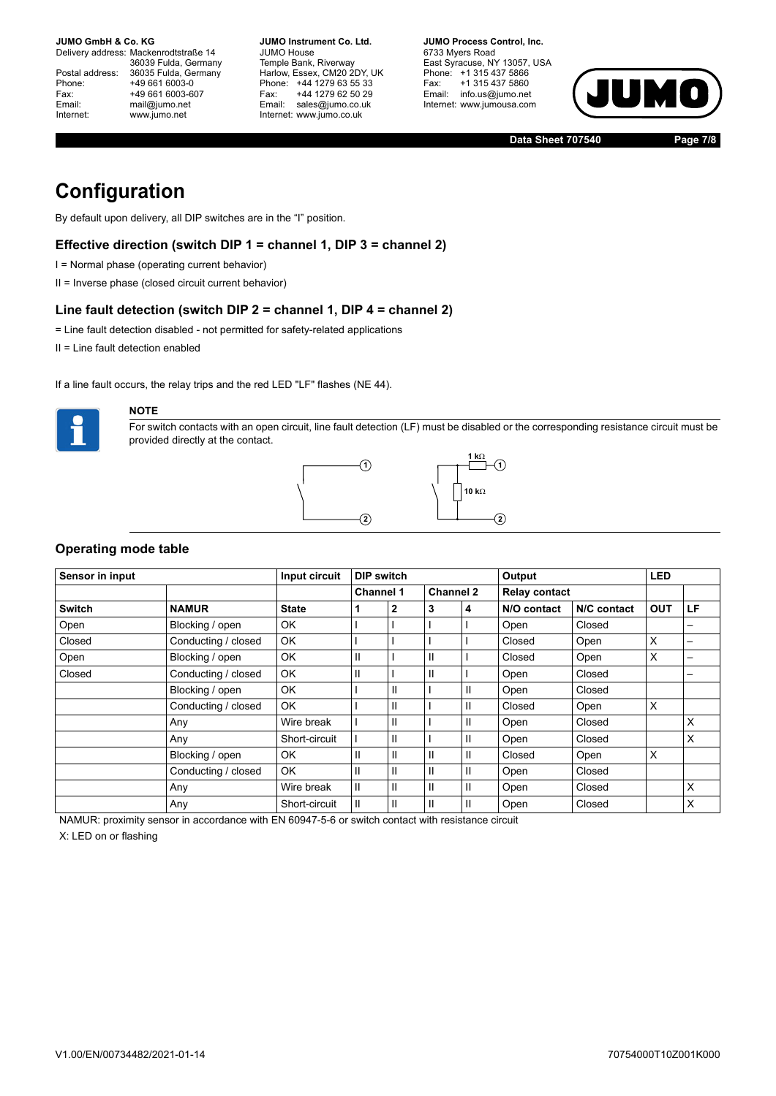Delivery address: Mackenrodtstraße 14 36039 Fulda, Germany Postal address: 36035 Fulda, Germany<br>Phone: +49 661 6003-0 Phone: +49 661 6003-0<br>Fax: +49 661 6003-6 Fax: +49 661 6003-607<br>
Fmail: mail@iumo.net mail@jumo.net Internet: www.jumo.net

**JUMO Instrument Co. Ltd.** JUMO House Temple Bank, Riverway Harlow, Essex, CM20 2DY, UK Phone: +44 1279 63 55 33<br>Fax: +44 1279 62 50 29 +44 1279 62 50 29 Email: sales@jumo.co.uk Internet: www.jumo.co.uk

**JUMO Process Control, Inc.** 6733 Myers Road East Syracuse, NY 13057, USA Phone: +1 315 437 5866<br>Fax: +1 315 437 5860 +1 315 437 5860 Email: info.us@jumo.net Internet: www.jumousa.com



**Data Sheet 707540 Page 7/8**

## **Configuration**

By default upon delivery, all DIP switches are in the "I" position.

### **Effective direction (switch DIP 1 = channel 1, DIP 3 = channel 2)**

- I = Normal phase (operating current behavior)
- II = Inverse phase (closed circuit current behavior)

#### **Line fault detection (switch DIP 2 = channel 1, DIP 4 = channel 2)**

- = Line fault detection disabled not permitted for safety-related applications
- II = Line fault detection enabled

If a line fault occurs, the relay trips and the red LED "LF" flashes (NE 44).



### **NOTE**

For switch contacts with an open circuit, line fault detection (LF) must be disabled or the corresponding resistance circuit must be provided directly at the contact.



### **Operating mode table**

| Sensor in input |                     | Input circuit | <b>DIP switch</b> |   |                  |              | Output               |             | <b>LED</b> |    |
|-----------------|---------------------|---------------|-------------------|---|------------------|--------------|----------------------|-------------|------------|----|
|                 |                     |               | <b>Channel 1</b>  |   | <b>Channel 2</b> |              | <b>Relay contact</b> |             |            |    |
| <b>Switch</b>   | <b>NAMUR</b>        | <b>State</b>  |                   | 2 | 3                | 4            | N/O contact          | N/C contact | <b>OUT</b> | LF |
| Open            | Blocking / open     | OK.           |                   |   |                  |              | Open                 | Closed      |            |    |
| Closed          | Conducting / closed | OK            |                   |   |                  |              | Closed               | Open        | X          |    |
| Open            | Blocking / open     | <b>OK</b>     | Ш                 |   | Ш                |              | Closed               | Open        | X          |    |
| Closed          | Conducting / closed | <b>OK</b>     | Ш                 |   | Ш                |              | Open                 | Closed      |            | —  |
|                 | Blocking / open     | <b>OK</b>     |                   | Ш |                  | $\mathbf{I}$ | Open                 | Closed      |            |    |
|                 | Conducting / closed | <b>OK</b>     |                   | Ш |                  | Ш            | Closed               | Open        | X          |    |
|                 | Any                 | Wire break    |                   | Ш |                  | Ш            | Open                 | Closed      |            | X  |
|                 | Any                 | Short-circuit |                   | Ш |                  | Ш            | Open                 | Closed      |            | X  |
|                 | Blocking / open     | OK.           | Ш                 | Ш | Ш                | $\mathbf{H}$ | Closed               | Open        | X          |    |
|                 | Conducting / closed | <b>OK</b>     | Ш                 | Ш | Ш                | $\mathbf{H}$ | Open                 | Closed      |            |    |
|                 | Any                 | Wire break    | $\mathbf{H}$      | Ш | Ш                | Ш            | Open                 | Closed      |            | X  |
|                 | Any                 | Short-circuit | $\mathsf{II}$     | Ш | Ш                | Ш            | Open                 | Closed      |            | X  |

NAMUR: proximity sensor in accordance with EN 60947-5-6 or switch contact with resistance circuit

X: LED on or flashing